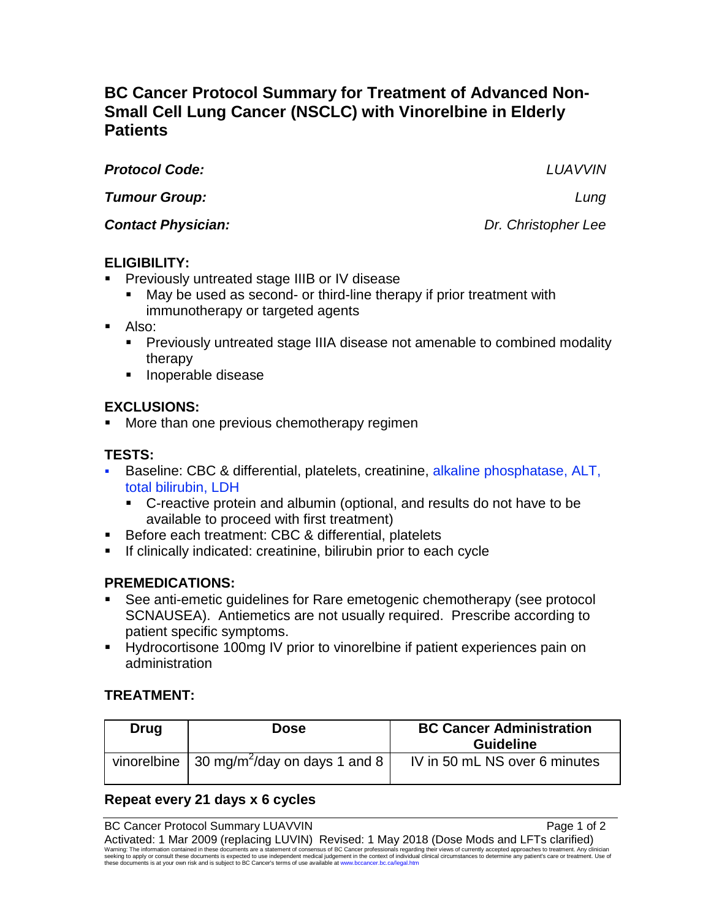# **BC Cancer Protocol Summary for Treatment of Advanced Non-Small Cell Lung Cancer (NSCLC) with Vinorelbine in Elderly Patients**

*Protocol Code: LUAVVIN*

*Tumour Group: Lung*

*Contact Physician: Dr. Christopher Lee*

# **ELIGIBILITY:**

- Previously untreated stage IIIB or IV disease
	- May be used as second- or third-line therapy if prior treatment with immunotherapy or targeted agents
- Also:
	- **Previously untreated stage IIIA disease not amenable to combined modality** therapy
	- **Inoperable disease**

## **EXCLUSIONS:**

More than one previous chemotherapy regimen

# **TESTS:**

- Baseline: CBC & differential, platelets, creatinine, alkaline phosphatase, ALT, total bilirubin, LDH
	- C-reactive protein and albumin (optional, and results do not have to be available to proceed with first treatment)
- Before each treatment: CBC & differential, platelets
- **If clinically indicated: creatinine, bilirubin prior to each cycle**

# **PREMEDICATIONS:**

- See anti-emetic guidelines for Rare emetogenic chemotherapy (see protocol SCNAUSEA). Antiemetics are not usually required. Prescribe according to patient specific symptoms.
- Hydrocortisone 100mg IV prior to vinorelbine if patient experiences pain on administration

# **TREATMENT:**

| <b>Drug</b> | <b>Dose</b>                                                                     | <b>BC Cancer Administration</b><br><b>Guideline</b> |
|-------------|---------------------------------------------------------------------------------|-----------------------------------------------------|
|             | vinorelbine $\frac{1}{30}$ mg/m <sup>2</sup> /day on days 1 and 8 $\frac{1}{3}$ | IV in 50 mL NS over 6 minutes                       |

# **Repeat every 21 days x 6 cycles**